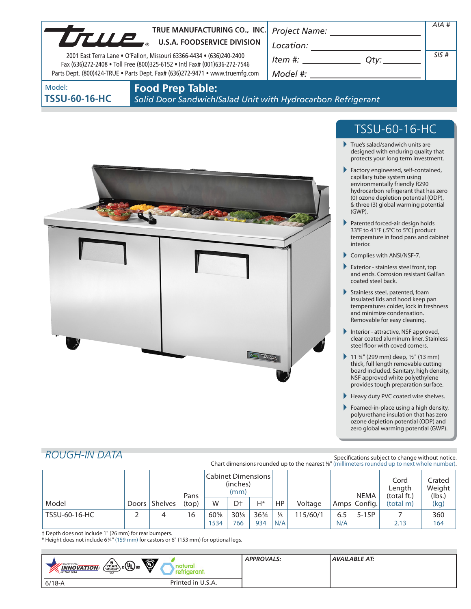| UTULE                          | TRUE MANUFACTURING CO., INC.<br><b>U.S.A. FOODSERVICE DIVISION</b><br>2001 East Terra Lane • O'Fallon, Missouri 63366-4434 • (636)240-2400<br>Fax (636)272-2408 . Toll Free (800)325-6152 . Intl Fax# (001)636-272-7546<br>Parts Dept. (800)424-TRUE . Parts Dept. Fax# (636)272-9471 . www.truemfg.com | <b>Project Name:</b><br>Location:<br>Item #:<br>Otv:<br>Model #: | AIA#<br>SIS# |
|--------------------------------|---------------------------------------------------------------------------------------------------------------------------------------------------------------------------------------------------------------------------------------------------------------------------------------------------------|------------------------------------------------------------------|--------------|
| Model:<br><b>TSSU-60-16-HC</b> | <b>Food Prep Table:</b><br>Solid Door Sandwich/Salad Unit with Hydrocarbon Refrigerant                                                                                                                                                                                                                  |                                                                  |              |



# TSSU-60-16-HC

- True's salad/sandwich units are designed with enduring quality that protects your long term investment.
- Factory engineered, self-contained, capillary tube system using environmentally friendly R290 hydrocarbon refrigerant that has zero (0) ozone depletion potential (ODP), & three (3) global warming potential (GWP).
- Patented forced-air design holds 33°F to 41°F (.5°C to 5°C) product temperature in food pans and cabinet interior.
- Complies with ANSI/NSF-7.
- Exterior stainless steel front, top and ends. Corrosion resistant GalFan coated steel back.
- Stainless steel, patented, foam insulated lids and hood keep pan temperatures colder, lock in freshness and minimize condensation. Removable for easy cleaning.
- Interior attractive, NSF approved, clear coated aluminum liner. Stainless steel floor with coved corners.
- $\blacktriangleright$  113/4" (299 mm) deep, 1/2" (13 mm) thick, full length removable cutting board included. Sanitary, high density, NSF approved white polyethylene provides tough preparation surface.
- Heavy duty PVC coated wire shelves.
- Foamed-in-place using a high density, polyurethane insulation that has zero ozone depletion potential (ODP) and zero global warming potential (GWP).

# *ROUGH-IN DATA*

#### Specifications subject to change without notice. Chart dimensions rounded up to the nearest %" (millimeters rounded up to next whole number).

|               |                 | Pans  | Cabinet Dimensions  <br>(inches)<br>(mm) |        |                 |               |          | <b>NEMA</b> | Cord<br>Length<br>(total ft.) | Crated<br>Weight<br>(lbs.) |      |
|---------------|-----------------|-------|------------------------------------------|--------|-----------------|---------------|----------|-------------|-------------------------------|----------------------------|------|
| Model         | Doors   Shelves | (top) | W                                        | D†     | H*              | HP            | Voltage  |             | Amps Config.                  | (total m)                  | (kg) |
| TSSU-60-16-HC |                 | 16    | $60\%$                                   | $30\%$ | $36\frac{3}{4}$ | $\frac{1}{3}$ | 115/60/1 | 6.5         | $5-15P$                       |                            | 360  |
|               |                 |       | 1534                                     | 766    | 934             | N/A           |          | N/A         |                               | 2.13                       | 164  |

† Depth does not include 1" (26 mm) for rear bumpers.

\* Height does not include 61/4" (159 mm) for castors or 6" (153 mm) for optional legs.

| Ö<br>$\left(\frac{5}{4\text{ EAR}}\right)$ $\left(\frac{1}{4}\right)$ us<br><b>MADE WITH_</b><br><b>INNOVATION</b><br><b>AN THE USA</b><br><b>USA</b> |                   | <b>APPROVALS:</b> | AVAILABLE AT: |
|-------------------------------------------------------------------------------------------------------------------------------------------------------|-------------------|-------------------|---------------|
| 6/18-A                                                                                                                                                | Printed in U.S.A. |                   |               |